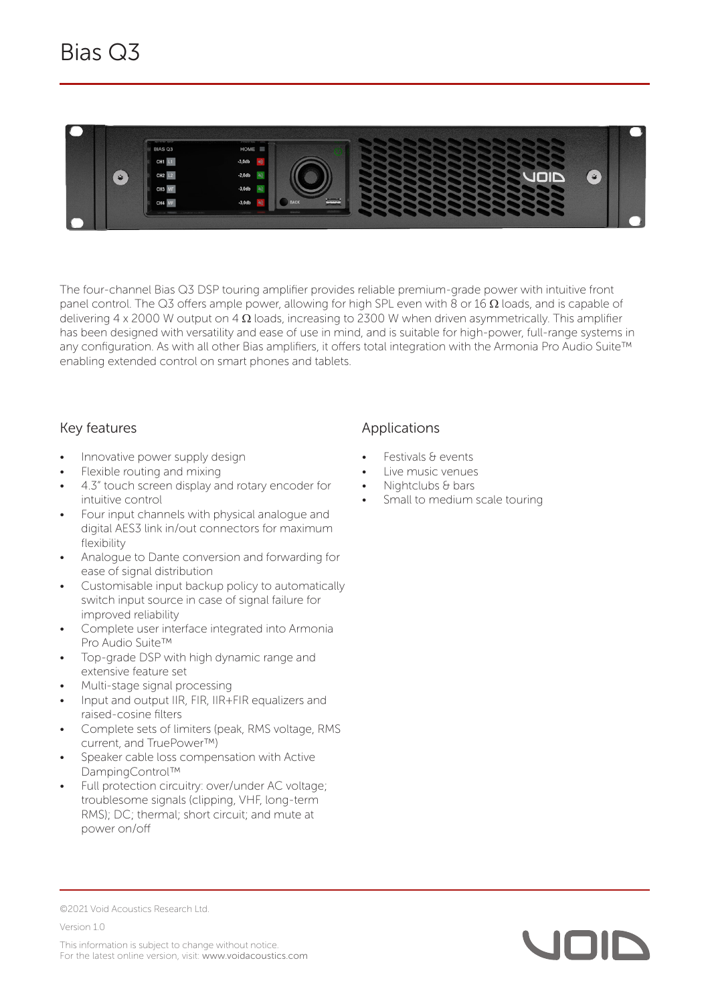

The four-channel Bias Q3 DSP touring amplifier provides reliable premium-grade power with intuitive front panel control. The Q3 offers ample power, allowing for high SPL even with 8 or 16  $\Omega$  loads, and is capable of delivering 4 x 2000 W output on 4  $\Omega$  loads, increasing to 2300 W when driven asymmetrically. This amplifier has been designed with versatility and ease of use in mind, and is suitable for high-power, full-range systems in any configuration. As with all other Bias amplifiers, it offers total integration with the Armonia Pro Audio Suite™ enabling extended control on smart phones and tablets.

## Key features

- Innovative power supply design
- Flexible routing and mixing
- 4.3" touch screen display and rotary encoder for intuitive control
- Four input channels with physical analogue and digital AES3 link in/out connectors for maximum flexibility
- Analogue to Dante conversion and forwarding for ease of signal distribution
- Customisable input backup policy to automatically switch input source in case of signal failure for improved reliability
- Complete user interface integrated into Armonia Pro Audio Suite™
- Top-grade DSP with high dynamic range and extensive feature set
- Multi-stage signal processing
- Input and output IIR, FIR, IIR+FIR equalizers and raised-cosine filters
- Complete sets of limiters (peak, RMS voltage, RMS current, and TruePower™)
- Speaker cable loss compensation with Active DampingControl™
- Full protection circuitry: over/under AC voltage; troublesome signals (clipping, VHF, long-term RMS); DC; thermal; short circuit; and mute at power on/off

## Applications

- Festivals & events
- Live music venues
- Nightclubs & bars
- Small to medium scale touring

©2021 Void Acoustics Research Ltd.

Version 1.0